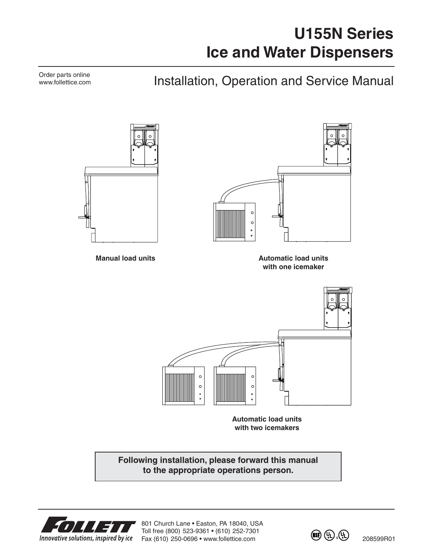# **U155N Series Ice and Water Dispensers**

Installation, Operation and Service Manual

 $\circ$  $\circ$ **Manual load units Automatic load units Automatic load units with one icemaker**  $\circ$  $\epsilon$  $\circ$  $\mathbf{c}$ **Automatic load units with two icemakers**

> **Following installation, please forward this manual to the appropriate operations person.**



Order parts online www.follettice.com

801 Church Lane • Easton, PA 18040, USA Toll free (800) 523-9361 • (610) 252-7301 Innovative solutions, inspired by ice Fax (610) 250-0696 • www.follettice.com

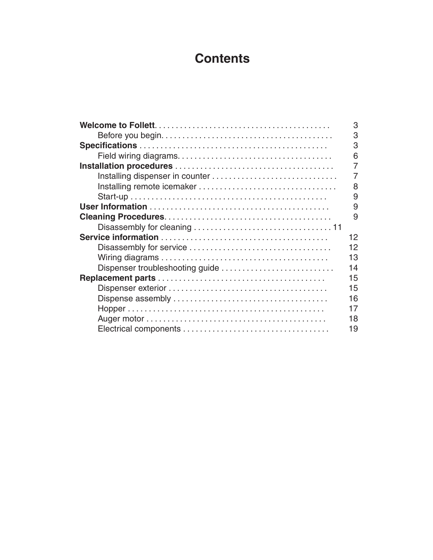# **Contents**

|                                 | 3  |
|---------------------------------|----|
|                                 | 3  |
|                                 | 3  |
|                                 | 6  |
|                                 | 7  |
|                                 | 7  |
|                                 | 8  |
|                                 | 9  |
|                                 | 9  |
|                                 | 9  |
|                                 |    |
|                                 | 12 |
|                                 | 12 |
|                                 | 13 |
| Dispenser troubleshooting guide | 14 |
|                                 | 15 |
|                                 | 15 |
|                                 | 16 |
|                                 | 17 |
|                                 | 18 |
|                                 | 19 |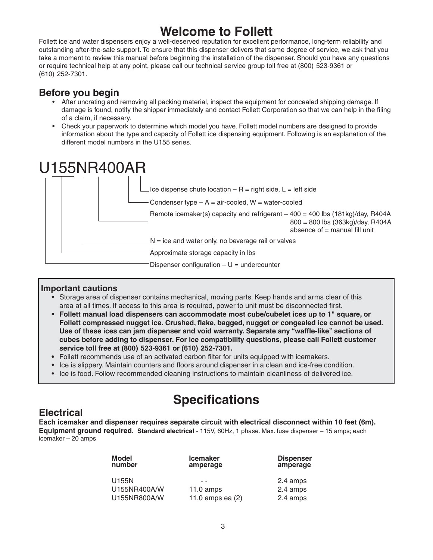# **Welcome to Follett**

Follett ice and water dispensers enjoy a well-deserved reputation for excellent performance, long-term reliability and outstanding after-the-sale support. To ensure that this dispenser delivers that same degree of service, we ask that you take a moment to review this manual before beginning the installation of the dispenser. Should you have any questions or require technical help at any point, please call our technical service group toll free at (800) 523-9361 or (610) 252-7301.

### **Before you begin**

- After uncrating and removing all packing material, inspect the equipment for concealed shipping damage. If damage is found, notify the shipper immediately and contact Follett Corporation so that we can help in the filing of a claim, if necessary.
- Check your paperwork to determine which model you have. Follett model numbers are designed to provide information about the type and capacity of Follett ice dispensing equipment. Following is an explanation of the different model numbers in the U155 series.



#### **Important cautions**

- Storage area of dispenser contains mechanical, moving parts. Keep hands and arms clear of this area at all times. If access to this area is required, power to unit must be disconnected first.
- **Follett manual load dispensers can accommodate most cube/cubelet ices up to 1" square, or Follett compressed nugget ice. Crushed, flake, bagged, nugget or congealed ice cannot be used. Use of these ices can jam dispenser and void warranty. Separate any "waffle-like" sections of cubes before adding to dispenser. For ice compatibility questions, please call Follett customer service toll free at (800) 523-9361 or (610) 252-7301.**
- **•** Follett recommends use of an activated carbon filter for units equipped with icemakers.
- Ice is slippery. Maintain counters and floors around dispenser in a clean and ice-free condition.
- Ice is food. Follow recommended cleaning instructions to maintain cleanliness of delivered ice.

# **Specifications**

### **Electrical**

**Each icemaker and dispenser requires separate circuit with electrical disconnect within 10 feet (6m). Equipment ground required. Standard electrical** - 115V, 60Hz, 1 phase. Max. fuse dispenser – 15 amps; each icemaker – 20 amps

| <b>Model</b><br>number | <b>Icemaker</b><br>amperage | <b>Dispenser</b><br>amperage |
|------------------------|-----------------------------|------------------------------|
| U155N                  |                             | 2.4 amps                     |
| U155NR400A/W           | $11.0 \text{ amps}$         | 2.4 amps                     |
| U155NR800A/W           | 11.0 amps ea (2)            | 2.4 amps                     |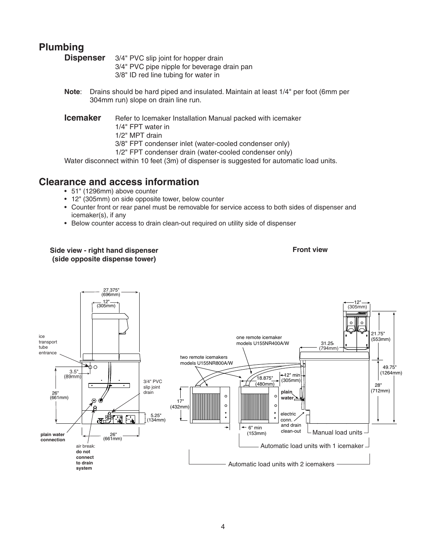# **Plumbing**

**Dispenser** 3/4" PVC slip joint for hopper drain 3/4" PVC pipe nipple for beverage drain pan 3/8" ID red line tubing for water in

- **Note**: Drains should be hard piped and insulated. Maintain at least 1/4" per foot (6mm per 304mm run) slope on drain line run.
- **Icemaker** Refer to Icemaker Installation Manual packed with icemaker
	- 1/4" FPT water in
	- 1/2" MPT drain

3/8" FPT condenser inlet (water-cooled condenser only)

1/2" FPT condenser drain (water-cooled condenser only)

Water disconnect within 10 feet (3m) of dispenser is suggested for automatic load units.

### **Clearance and access information**

- 51" (1296mm) above counter
- 12" (305mm) on side opposite tower, below counter
- Counter front or rear panel must be removable for service access to both sides of dispenser and icemaker(s), if any
- Below counter access to drain clean-out required on utility side of dispenser

#### **Side view - right hand dispenser Front view (side opposite dispense tower)**

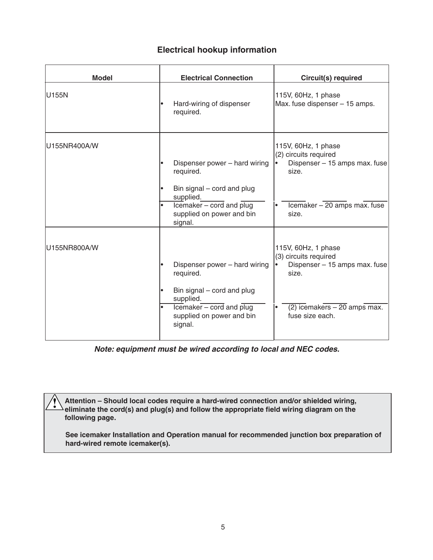#### **Electrical hookup information**

| <b>Model</b> | <b>Electrical Connection</b>                                                                                          | Circuit(s) required                                                                    |
|--------------|-----------------------------------------------------------------------------------------------------------------------|----------------------------------------------------------------------------------------|
| U155N        | Hard-wiring of dispenser<br>required.                                                                                 | 115V, 60Hz, 1 phase<br>Max. fuse dispenser - 15 amps.                                  |
| U155NR400A/W | Dispenser power - hard wiring<br>required.<br>Bin signal – cord and plug<br>supplied.                                 | 115V, 60Hz, 1 phase<br>(2) circuits required<br>Dispenser - 15 amps max. fuse<br>size. |
|              | $\overline{\text{leemaker}}$ - cord and $\overline{\text{plug}}$<br>$\bullet$<br>supplied on power and bin<br>signal. | Icemaker - 20 amps max. fuse<br>size.                                                  |
| U155NR800A/W | Dispenser power - hard wiring<br>required.<br>Bin signal – cord and plug<br>supplied.                                 | 115V, 60Hz, 1 phase<br>(3) circuits required<br>Dispenser - 15 amps max. fuse<br>size. |
|              | $\overline{\text{Icemaker} - \text{cord}}$ and $\overline{\text{plug}}$<br>supplied on power and bin<br>signal.       | $(2)$ icemakers $-20$ amps max.<br>fuse size each.                                     |

*Note: equipment must be wired according to local and NEC codes.*

**Attention – Should local codes require a hard-wired connection and/or shielded wiring, eliminate the cord(s) and plug(s) and follow the appropriate field wiring diagram on the following page.**

**!**

 **See icemaker Installation and Operation manual for recommended junction box preparation of hard-wired remote icemaker(s).**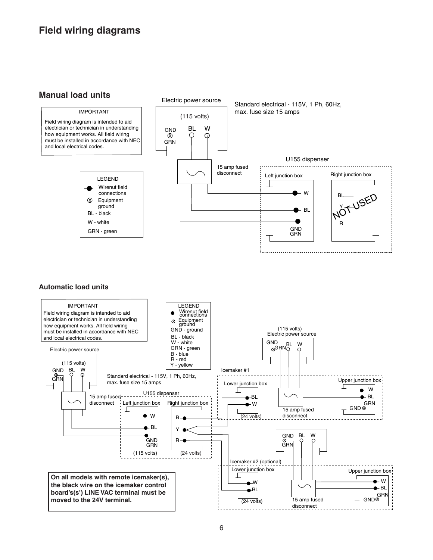# **Field wiring diagrams**

#### **Manual load units**

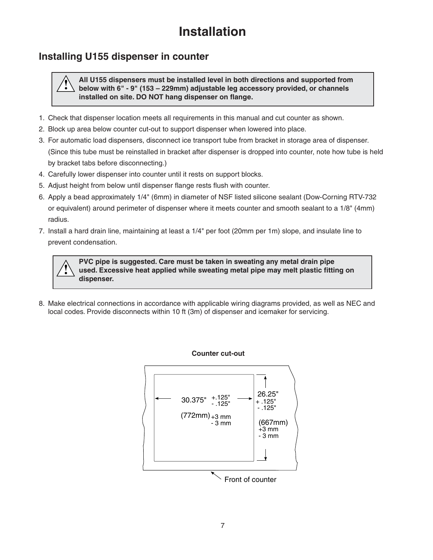# **Installation**

### **Installing U155 dispenser in counter**

**!**

**All U155 dispensers must be installed level in both directions and supported from below with 6" - 9" (153 – 229mm) adjustable leg accessory provided, or channels installed on site. DO NOT hang dispenser on flange. !**

- 1. Check that dispenser location meets all requirements in this manual and cut counter as shown.
- 2. Block up area below counter cut-out to support dispenser when lowered into place.
- 3. For automatic load dispensers, disconnect ice transport tube from bracket in storage area of dispenser. (Since this tube must be reinstalled in bracket after dispenser is dropped into counter, note how tube is held by bracket tabs before disconnecting.)
- 4. Carefully lower dispenser into counter until it rests on support blocks.
- 5. Adjust height from below until dispenser flange rests flush with counter.
- 6. Apply a bead approximately 1/4" (6mm) in diameter of NSF listed silicone sealant (Dow-Corning RTV-732 or equivalent) around perimeter of dispenser where it meets counter and smooth sealant to a 1/8" (4mm) radius.
- 7. Install a hard drain line, maintaining at least a 1/4" per foot (20mm per 1m) slope, and insulate line to prevent condensation.

**PVC pipe is suggested. Care must be taken in sweating any metal drain pipe used. Excessive heat applied while sweating metal pipe may melt plastic fitting on dispenser.**

8. Make electrical connections in accordance with applicable wiring diagrams provided, as well as NEC and local codes. Provide disconnects within 10 ft (3m) of dispenser and icemaker for servicing.

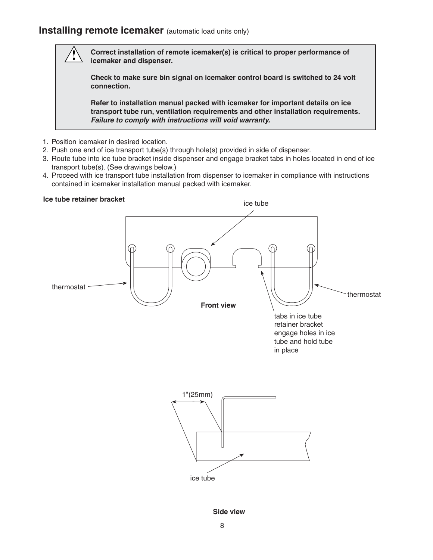### **Installing remote icemaker** (automatic load units only)

**Correct installation of remote icemaker(s) is critical to proper performance of icemaker and dispenser.** 

**Check to make sure bin signal on icemaker control board is switched to 24 volt connection.**

**Refer to installation manual packed with icemaker for important details on ice transport tube run, ventilation requirements and other installation requirements.**  *Failure to comply with instructions will void warranty.*

- 1. Position icemaker in desired location.
- 2. Push one end of ice transport tube(s) through hole(s) provided in side of dispenser.
- 3. Route tube into ice tube bracket inside dispenser and engage bracket tabs in holes located in end of ice transport tube(s). (See drawings below.)
- 4. Proceed with ice transport tube installation from dispenser to icemaker in compliance with instructions contained in icemaker installation manual packed with icemaker.

#### **Ice tube retainer bracket**

**!**



**Side view**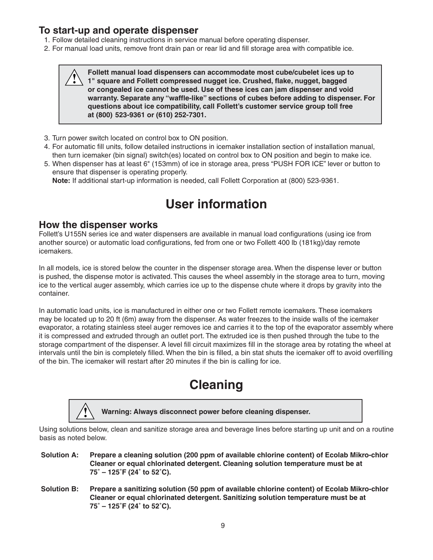### **To start-up and operate dispenser**

- 1. Follow detailed cleaning instructions in service manual before operating dispenser.
- 2. For manual load units, remove front drain pan or rear lid and fill storage area with compatible ice.

**Follett manual load dispensers can accommodate most cube/cubelet ices up to 1" square and Follett compressed nugget ice. Crushed, flake, nugget, bagged or congealed ice cannot be used. Use of these ices can jam dispenser and void warranty. Separate any "waffle-like" sections of cubes before adding to dispenser. For questions about ice compatibility, call Follett's customer service group toll free at (800) 523-9361 or (610) 252-7301. !**

- 3. Turn power switch located on control box to ON position.
- 4. For automatic fill units, follow detailed instructions in icemaker installation section of installation manual, then turn icemaker (bin signal) switch(es) located on control box to ON position and begin to make ice.
- 5. When dispenser has at least 6" (153mm) of ice in storage area, press "PUSH FOR ICE" lever or button to ensure that dispenser is operating properly.

 **Note:** If additional start-up information is needed, call Follett Corporation at (800) 523-9361.

# **User information**

#### **How the dispenser works**

Follett's U155N series ice and water dispensers are available in manual load configurations (using ice from another source) or automatic load configurations, fed from one or two Follett 400 lb (181kg)/day remote icemakers.

In all models, ice is stored below the counter in the dispenser storage area. When the dispense lever or button is pushed, the dispense motor is activated. This causes the wheel assembly in the storage area to turn, moving ice to the vertical auger assembly, which carries ice up to the dispense chute where it drops by gravity into the container.

In automatic load units, ice is manufactured in either one or two Follett remote icemakers. These icemakers may be located up to 20 ft (6m) away from the dispenser. As water freezes to the inside walls of the icemaker evaporator, a rotating stainless steel auger removes ice and carries it to the top of the evaporator assembly where it is compressed and extruded through an outlet port. The extruded ice is then pushed through the tube to the storage compartment of the dispenser. A level fill circuit maximizes fill in the storage area by rotating the wheel at intervals until the bin is completely filled. When the bin is filled, a bin stat shuts the icemaker off to avoid overfilling of the bin. The icemaker will restart after 20 minutes if the bin is calling for ice.

# **Cleaning**



**Warning: Always disconnect power before cleaning dispenser. !**

Using solutions below, clean and sanitize storage area and beverage lines before starting up unit and on a routine basis as noted below.

**Solution A: Prepare a cleaning solution (200 ppm of available chlorine content) of Ecolab Mikro-chlor Cleaner or equal chlorinated detergent. Cleaning solution temperature must be at 75˚ – 125˚F (24˚ to 52˚C).**

**Solution B: Prepare a sanitizing solution (50 ppm of available chlorine content) of Ecolab Mikro-chlor Cleaner or equal chlorinated detergent. Sanitizing solution temperature must be at 75˚ – 125˚F (24˚ to 52˚C).**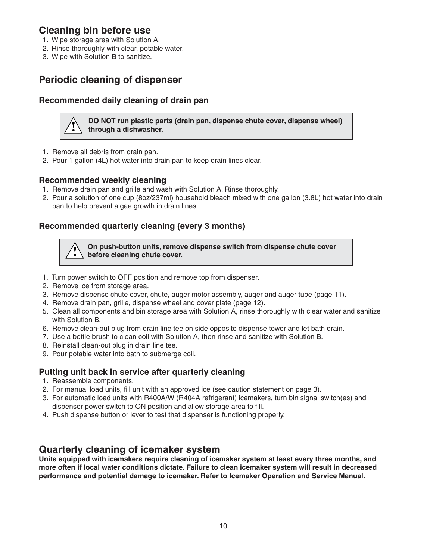### **Cleaning bin before use**

- 1. Wipe storage area with Solution A.
- 2. Rinse thoroughly with clear, potable water.
- 3. Wipe with Solution B to sanitize.

### **Periodic cleaning of dispenser**

#### **Recommended daily cleaning of drain pan**

**DO NOT run plastic parts (drain pan, dispense chute cover, dispense wheel) ! through a dishwasher.**

- 1. Remove all debris from drain pan.
- 2. Pour 1 gallon (4L) hot water into drain pan to keep drain lines clear.

#### **Recommended weekly cleaning**

- 1. Remove drain pan and grille and wash with Solution A. Rinse thoroughly.
- 2. Pour a solution of one cup (8oz/237ml) household bleach mixed with one gallon (3.8L) hot water into drain pan to help prevent algae growth in drain lines.

### **Recommended quarterly cleaning (every 3 months)**

**On push-button units, remove dispense switch from dispense chute cover ! before cleaning chute cover.**

- 1. Turn power switch to OFF position and remove top from dispenser.
- 2. Remove ice from storage area.
- 3. Remove dispense chute cover, chute, auger motor assembly, auger and auger tube (page 11).
- 4. Remove drain pan, grille, dispense wheel and cover plate (page 12).
- 5. Clean all components and bin storage area with Solution A, rinse thoroughly with clear water and sanitize with Solution B.
- 6. Remove clean-out plug from drain line tee on side opposite dispense tower and let bath drain.
- 7. Use a bottle brush to clean coil with Solution A, then rinse and sanitize with Solution B.
- 8. Reinstall clean-out plug in drain line tee.
- 9. Pour potable water into bath to submerge coil.

#### **Putting unit back in service after quarterly cleaning**

- 1. Reassemble components.
- 2. For manual load units, fill unit with an approved ice (see caution statement on page 3).
- 3. For automatic load units with R400A/W (R404A refrigerant) icemakers, turn bin signal switch(es) and dispenser power switch to ON position and allow storage area to fill.
- 4. Push dispense button or lever to test that dispenser is functioning properly.

### **Quarterly cleaning of icemaker system**

**Units equipped with icemakers require cleaning of icemaker system at least every three months, and more often if local water conditions dictate. Failure to clean icemaker system will result in decreased performance and potential damage to icemaker. Refer to Icemaker Operation and Service Manual.**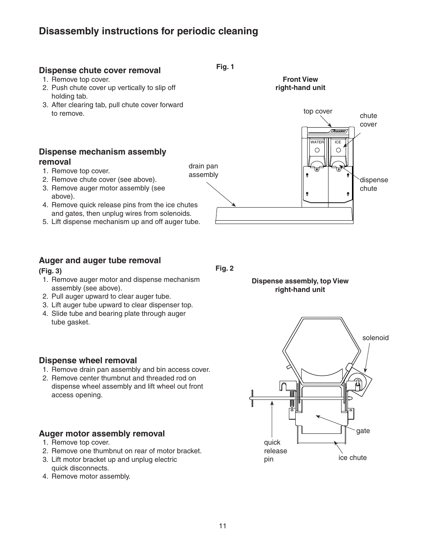# **Disassembly instructions for periodic cleaning**

### **Dispense chute cover removal**

- 1. Remove top cover.
- 2. Push chute cover up vertically to slip off holding tab.
- 3. After clearing tab, pull chute cover forward to remove.

#### **Dispense mechanism assembly removal**

- 1. Remove top cover.
- 2. Remove chute cover (see above).
- 3. Remove auger motor assembly (see above).
- 4. Remove quick release pins from the ice chutes and gates, then unplug wires from solenoids.
- 5. Lift dispense mechanism up and off auger tube.

### **Auger and auger tube removal**

#### **(Fig. 3)**

- 1. Remove auger motor and dispense mechanism assembly (see above).
- 2. Pull auger upward to clear auger tube.
- 3. Lift auger tube upward to clear dispenser top.
- 4. Slide tube and bearing plate through auger tube gasket.

#### **Dispense wheel removal**

- 1. Remove drain pan assembly and bin access cover.
- 2. Remove center thumbnut and threaded rod on dispense wheel assembly and lift wheel out front access opening.

#### **Auger motor assembly removal**

- 1. Remove top cover.
- 2. Remove one thumbnut on rear of motor bracket.
- 3. Lift motor bracket up and unplug electric
- quick disconnects.
- 4. Remove motor assembly.



**Fig. 1**





**Fig. 2**



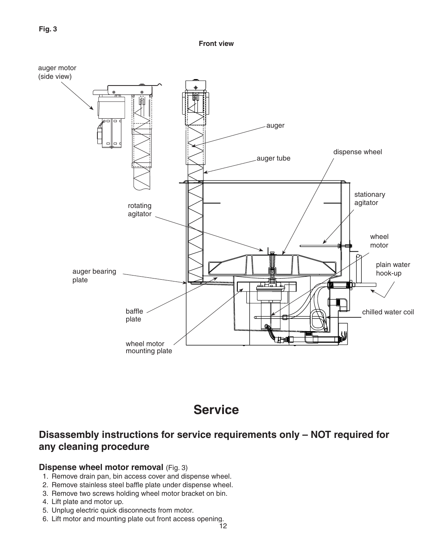**Front view**



# **Service**

# **Disassembly instructions for service requirements only – NOT required for any cleaning procedure**

#### **Dispense wheel motor removal** (Fig. 3)

- 1. Remove drain pan, bin access cover and dispense wheel.
- 2. Remove stainless steel baffle plate under dispense wheel.
- 3. Remove two screws holding wheel motor bracket on bin.
- 4. Lift plate and motor up.
- 5. Unplug electric quick disconnects from motor.
- 6. Lift motor and mounting plate out front access opening.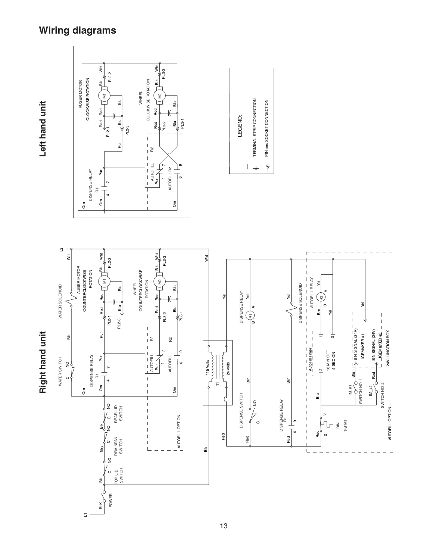# **Wiring diagrams**

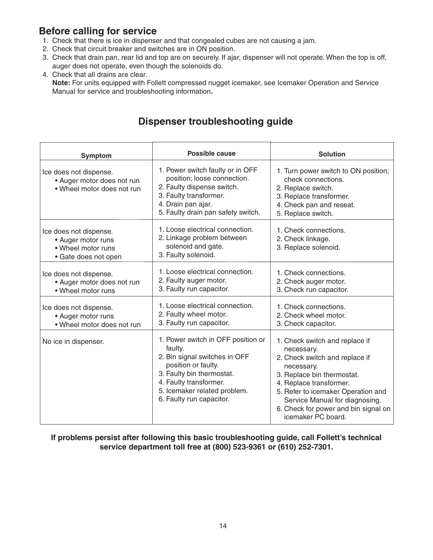# **Before calling for service**

- 1. Check that there is ice in dispenser and that congealed cubes are not causing a jam.
- 2. Check that circuit breaker and switches are in ON position.
- 3. Check that drain pan, rear lid and top are on securely. If ajar, dispenser will not operate. When the top is off, auger does not operate, even though the solenoids do.
- 4. Check that all drains are clear.  **Note:** For units equipped with Follett compressed nugget icemaker, see Icemaker Operation and Service Manual for service and troubleshooting information**.**

# **Dispenser troubleshooting guide**

| <b>Symptom</b>                                                                             | Possible cause                                                                                                                                                                                                           | <b>Solution</b>                                                                                                                                                                                                                                                                             |
|--------------------------------------------------------------------------------------------|--------------------------------------------------------------------------------------------------------------------------------------------------------------------------------------------------------------------------|---------------------------------------------------------------------------------------------------------------------------------------------------------------------------------------------------------------------------------------------------------------------------------------------|
| Ice does not dispense.<br>• Auger motor does not run<br>• Wheel motor does not run         | 1. Power switch faulty or in OFF<br>position; loose connection.<br>2. Faulty dispense switch.<br>3. Faulty transformer.<br>4. Drain pan ajar.<br>5. Faulty drain pan safety switch.                                      | 1. Turn power switch to ON position;<br>check connections.<br>2. Replace switch.<br>3. Replace transformer.<br>4. Check pan and reseat.<br>5. Replace switch.                                                                                                                               |
| Ice does not dispense.<br>• Auger motor runs<br>• Wheel motor runs<br>• Gate does not open | 1. Loose electrical connection.<br>2. Linkage problem between<br>solenoid and gate.<br>3. Faulty solenoid.                                                                                                               | 1. Check connections.<br>2. Check linkage.<br>3. Replace solenoid.                                                                                                                                                                                                                          |
| Ice does not dispense.<br>• Auger motor does not run<br>• Wheel motor runs                 | 1. Loose electrical connection.<br>2. Faulty auger motor.<br>3. Faulty run capacitor.                                                                                                                                    | 1. Check connections.<br>2. Check auger motor.<br>3. Check run capacitor.                                                                                                                                                                                                                   |
| Ice does not dispense.<br>• Auger motor runs<br>. Wheel motor does not run                 | 1. Loose electrical connection.<br>2. Faulty wheel motor.<br>3. Faulty run capacitor.                                                                                                                                    | 1. Check connections.<br>2. Check wheel motor.<br>3. Check capacitor.                                                                                                                                                                                                                       |
| No ice in dispenser.                                                                       | 1. Power switch in OFF position or<br>faulty.<br>2. Bin signal switches in OFF<br>position or faulty.<br>3. Faulty bin thermostat.<br>4. Faulty transformer.<br>5. Icemaker related problem.<br>6. Faulty run capacitor. | 1. Check switch and replace if<br>necessary.<br>2. Check switch and replace if<br>necessary.<br>3. Replace bin thermostat.<br>4. Replace transformer.<br>5. Refer to icemaker Operation and<br>Service Manual for diagnosing.<br>6. Check for power and bin signal on<br>icemaker PC board. |

#### **If problems persist after following this basic troubleshooting guide, call Follett's technical service department toll free at (800) 523-9361 or (610) 252-7301.**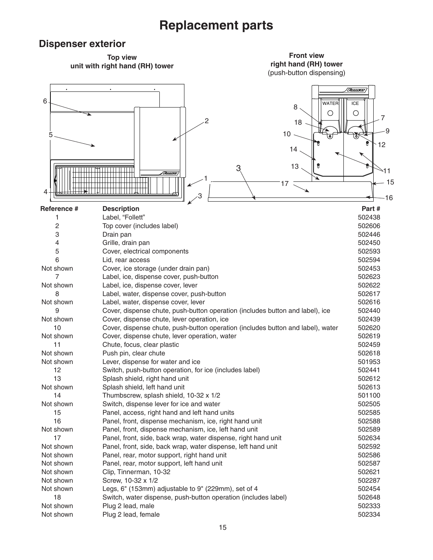# **Replacement parts**

### **Dispenser exterior**

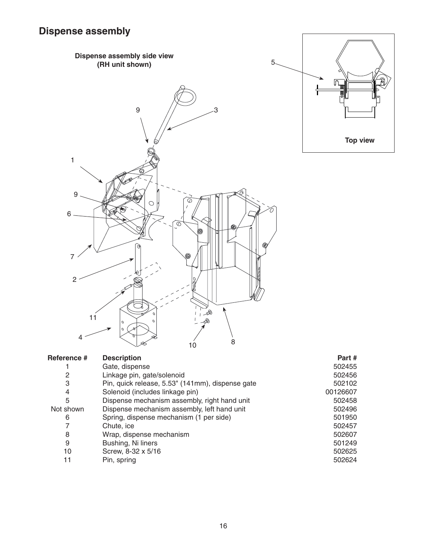



| Reference # | <b>Description</b>                               | Part#    |
|-------------|--------------------------------------------------|----------|
|             | Gate, dispense                                   | 502455   |
| 2           | Linkage pin, gate/solenoid                       | 502456   |
| 3           | Pin, quick release, 5.53" (141mm), dispense gate | 502102   |
| 4           | Solenoid (includes linkage pin)                  | 00126607 |
| 5           | Dispense mechanism assembly, right hand unit     | 502458   |
| Not shown   | Dispense mechanism assembly, left hand unit      | 502496   |
| 6           | Spring, dispense mechanism (1 per side)          | 501950   |
| 7           | Chute, ice                                       | 502457   |
| 8           | Wrap, dispense mechanism                         | 502607   |
| 9           | Bushing, Ni liners                               | 501249   |
| 10          | Screw, 8-32 x 5/16                               | 502625   |
| 11          | Pin, spring                                      | 502624   |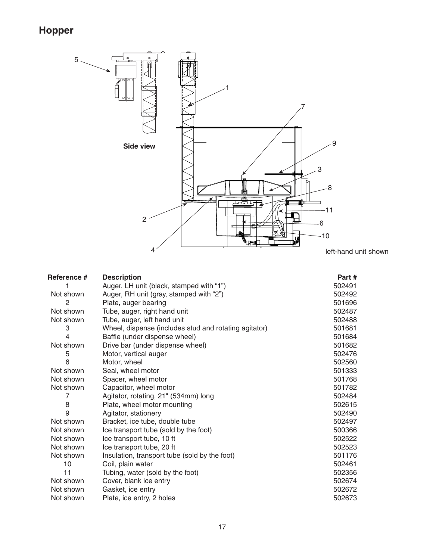# **Hopper**



| <b>Description</b>                                    | Part#                                                                                                                                                                                                                                                                                                                                                                                                                                                                 |
|-------------------------------------------------------|-----------------------------------------------------------------------------------------------------------------------------------------------------------------------------------------------------------------------------------------------------------------------------------------------------------------------------------------------------------------------------------------------------------------------------------------------------------------------|
| Auger, LH unit (black, stamped with "1")              | 502491                                                                                                                                                                                                                                                                                                                                                                                                                                                                |
| Auger, RH unit (gray, stamped with "2")               | 502492                                                                                                                                                                                                                                                                                                                                                                                                                                                                |
| Plate, auger bearing                                  | 501696                                                                                                                                                                                                                                                                                                                                                                                                                                                                |
| Tube, auger, right hand unit                          | 502487                                                                                                                                                                                                                                                                                                                                                                                                                                                                |
| Tube, auger, left hand unit                           | 502488                                                                                                                                                                                                                                                                                                                                                                                                                                                                |
| Wheel, dispense (includes stud and rotating agitator) | 501681                                                                                                                                                                                                                                                                                                                                                                                                                                                                |
| Baffle (under dispense wheel)                         | 501684                                                                                                                                                                                                                                                                                                                                                                                                                                                                |
| Drive bar (under dispense wheel)                      | 501682                                                                                                                                                                                                                                                                                                                                                                                                                                                                |
| Motor, vertical auger                                 | 502476                                                                                                                                                                                                                                                                                                                                                                                                                                                                |
| Motor, wheel                                          | 502560                                                                                                                                                                                                                                                                                                                                                                                                                                                                |
|                                                       | 501333                                                                                                                                                                                                                                                                                                                                                                                                                                                                |
| Spacer, wheel motor                                   | 501768                                                                                                                                                                                                                                                                                                                                                                                                                                                                |
|                                                       | 501782                                                                                                                                                                                                                                                                                                                                                                                                                                                                |
|                                                       | 502484                                                                                                                                                                                                                                                                                                                                                                                                                                                                |
|                                                       | 502615                                                                                                                                                                                                                                                                                                                                                                                                                                                                |
|                                                       | 502490                                                                                                                                                                                                                                                                                                                                                                                                                                                                |
|                                                       | 502497                                                                                                                                                                                                                                                                                                                                                                                                                                                                |
|                                                       | 500366                                                                                                                                                                                                                                                                                                                                                                                                                                                                |
|                                                       | 502522                                                                                                                                                                                                                                                                                                                                                                                                                                                                |
|                                                       | 502523                                                                                                                                                                                                                                                                                                                                                                                                                                                                |
|                                                       | 501176                                                                                                                                                                                                                                                                                                                                                                                                                                                                |
|                                                       | 502461                                                                                                                                                                                                                                                                                                                                                                                                                                                                |
|                                                       | 502356                                                                                                                                                                                                                                                                                                                                                                                                                                                                |
|                                                       | 502674                                                                                                                                                                                                                                                                                                                                                                                                                                                                |
|                                                       | 502672                                                                                                                                                                                                                                                                                                                                                                                                                                                                |
|                                                       | 502673                                                                                                                                                                                                                                                                                                                                                                                                                                                                |
|                                                       | Seal, wheel motor<br>Capacitor, wheel motor<br>Agitator, rotating, 21" (534mm) long<br>Plate, wheel motor mounting<br>Agitator, stationery<br>Bracket, ice tube, double tube<br>Ice transport tube (sold by the foot)<br>Ice transport tube, 10 ft<br>Ice transport tube, 20 ft<br>Insulation, transport tube (sold by the foot)<br>Coil, plain water<br>Tubing, water (sold by the foot)<br>Cover, blank ice entry<br>Gasket, ice entry<br>Plate, ice entry, 2 holes |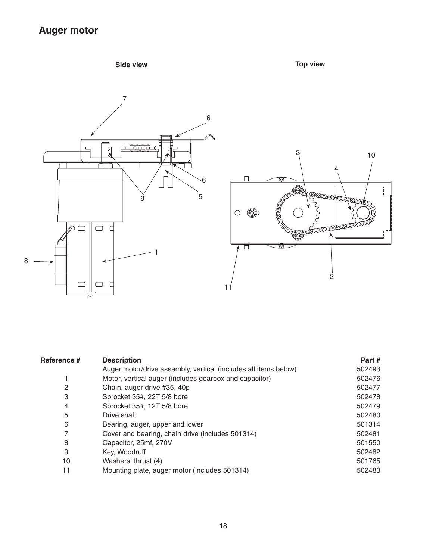# **Auger motor**

# **Side view Top view**



| Reference # | <b>Description</b>                                              | Part#  |
|-------------|-----------------------------------------------------------------|--------|
|             | Auger motor/drive assembly, vertical (includes all items below) | 502493 |
|             | Motor, vertical auger (includes gearbox and capacitor)          | 502476 |
| 2           | Chain, auger drive #35, 40p                                     | 502477 |
| 3           | Sprocket 35#, 22T 5/8 bore                                      | 502478 |
| 4           | Sprocket 35#, 12T 5/8 bore                                      | 502479 |
| 5           | Drive shaft                                                     | 502480 |
| 6           | Bearing, auger, upper and lower                                 | 501314 |
| 7           | Cover and bearing, chain drive (includes 501314)                | 502481 |
| 8           | Capacitor, 25mf, 270V                                           | 501550 |
| 9           | Key, Woodruff                                                   | 502482 |
| 10          | Washers, thrust (4)                                             | 501765 |
| 11          | Mounting plate, auger motor (includes 501314)                   | 502483 |
|             |                                                                 |        |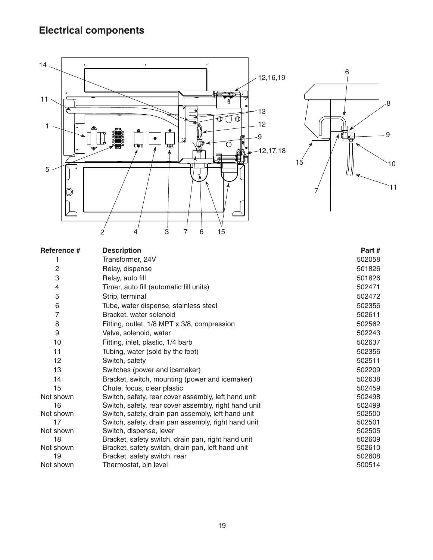# **Electrical components**



| Reference # | <b>Description</b>                                   | Part#  |
|-------------|------------------------------------------------------|--------|
|             | Transformer, 24V                                     | 502058 |
| 2           | Relay, dispense                                      | 501826 |
| 3           | Relay, auto fill                                     | 501826 |
| 4           | Timer, auto fill (automatic fill units)              | 502471 |
| 5           | Strip, terminal                                      | 502472 |
| 6           | Tube, water dispense, stainless steel                | 502356 |
| 7           | Bracket, water solenoid                              | 502611 |
| 8           | Fitting, outlet, 1/8 MPT x 3/8, compression          | 502562 |
| 9           | Valve, solenoid, water                               | 502243 |
| 10          | Fitting, inlet, plastic, 1/4 barb                    | 502637 |
| 11          | Tubing, water (sold by the foot)                     | 502356 |
| 12          | Switch, safety                                       | 502511 |
| 13          | Switches (power and icemaker)                        | 502209 |
| 14          | Bracket, switch, mounting (power and icemaker)       | 502638 |
| 15          | Chute, focus, clear plastic                          | 502459 |
| Not shown   | Switch, safety, rear cover assembly, left hand unit  | 502498 |
| 16          | Switch, safety, rear cover assembly, right hand unit | 502499 |
| Not shown   | Switch, safety, drain pan assembly, left hand unit   | 502500 |
| 17          | Switch, safety, drain pan assembly, right hand unit  | 502501 |
| Not shown   | Switch, dispense, lever                              | 502505 |
| 18          | Bracket, safety switch, drain pan, right hand unit   | 502609 |
| Not shown   | Bracket, safety switch, drain pan, left hand unit    | 502610 |
| 19          | Bracket, safety switch, rear                         | 502608 |
| Not shown   | Thermostat, bin level                                | 500514 |